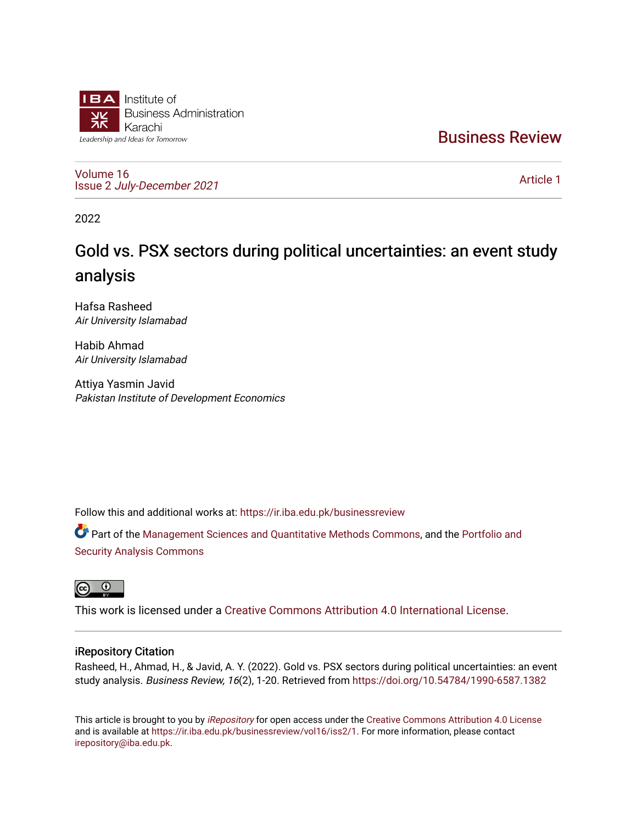

[Business Review](https://ir.iba.edu.pk/businessreview) 

[Volume 16](https://ir.iba.edu.pk/businessreview/vol16) Issue 2 [July-December 2021](https://ir.iba.edu.pk/businessreview/vol16/iss2)

[Article 1](https://ir.iba.edu.pk/businessreview/vol16/iss2/1) 

2022

# Gold vs. PSX sectors during political uncertainties: an event study analysis

Hafsa Rasheed Air University Islamabad

Habib Ahmad Air University Islamabad

Attiya Yasmin Javid Pakistan Institute of Development Economics

Follow this and additional works at: [https://ir.iba.edu.pk/businessreview](https://ir.iba.edu.pk/businessreview?utm_source=ir.iba.edu.pk%2Fbusinessreview%2Fvol16%2Fiss2%2F1&utm_medium=PDF&utm_campaign=PDFCoverPages) 

Part of the [Management Sciences and Quantitative Methods Commons](http://network.bepress.com/hgg/discipline/637?utm_source=ir.iba.edu.pk%2Fbusinessreview%2Fvol16%2Fiss2%2F1&utm_medium=PDF&utm_campaign=PDFCoverPages), and the Portfolio and [Security Analysis Commons](http://network.bepress.com/hgg/discipline/640?utm_source=ir.iba.edu.pk%2Fbusinessreview%2Fvol16%2Fiss2%2F1&utm_medium=PDF&utm_campaign=PDFCoverPages)



This work is licensed under a [Creative Commons Attribution 4.0 International License](https://creativecommons.org/licenses/by/4.0/).

# iRepository Citation

Rasheed, H., Ahmad, H., & Javid, A. Y. (2022). Gold vs. PSX sectors during political uncertainties: an event study analysis. Business Review, 16(2), 1-20. Retrieved from <https://doi.org/10.54784/1990-6587.1382>

This article is brought to you by [iRepository](https://ir.iba.edu.pk/) for open access under the Creative Commons Attribution 4.0 License and is available at [https://ir.iba.edu.pk/businessreview/vol16/iss2/1.](https://ir.iba.edu.pk/businessreview/vol16/iss2/1) For more information, please contact [irepository@iba.edu.pk.](mailto:irepository@iba.edu.pk)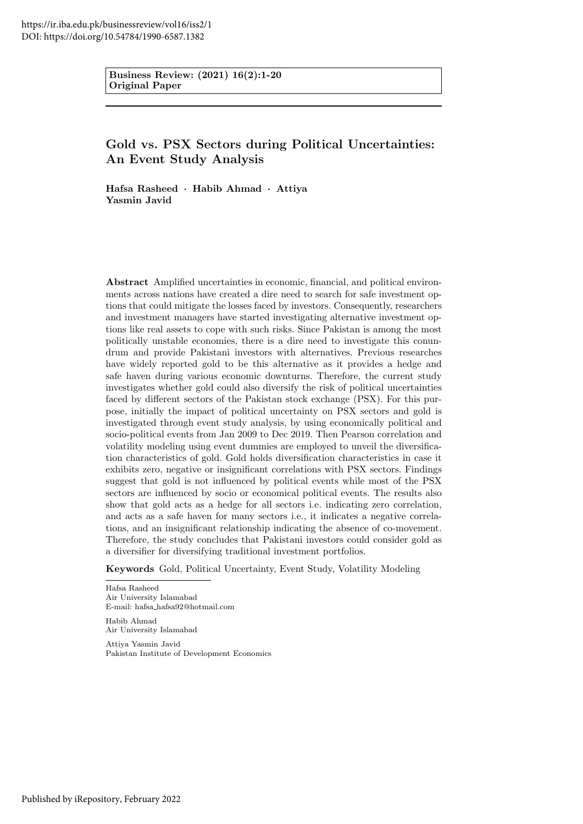Business Review: (2021) 16(2):1-20 Original Paper

# Gold vs. PSX Sectors during Political Uncertainties: An Event Study Analysis

Hafsa Rasheed · Habib Ahmad · Attiya Yasmin Javid

Abstract Amplified uncertainties in economic, financial, and political environments across nations have created a dire need to search for safe investment options that could mitigate the losses faced by investors. Consequently, researchers and investment managers have started investigating alternative investment options like real assets to cope with such risks. Since Pakistan is among the most politically unstable economies, there is a dire need to investigate this conundrum and provide Pakistani investors with alternatives. Previous researches have widely reported gold to be this alternative as it provides a hedge and safe haven during various economic downturns. Therefore, the current study investigates whether gold could also diversify the risk of political uncertainties faced by different sectors of the Pakistan stock exchange (PSX). For this purpose, initially the impact of political uncertainty on PSX sectors and gold is investigated through event study analysis, by using economically political and socio-political events from Jan 2009 to Dec 2019. Then Pearson correlation and volatility modeling using event dummies are employed to unveil the diversification characteristics of gold. Gold holds diversification characteristics in case it exhibits zero, negative or insignificant correlations with PSX sectors. Findings suggest that gold is not influenced by political events while most of the PSX sectors are influenced by socio or economical political events. The results also show that gold acts as a hedge for all sectors i.e. indicating zero correlation, and acts as a safe haven for many sectors i.e., it indicates a negative correlations, and an insignificant relationship indicating the absence of co-movement. Therefore, the study concludes that Pakistani investors could consider gold as a diversifier for diversifying traditional investment portfolios.

Keywords Gold, Political Uncertainty, Event Study, Volatility Modeling

Hafsa Rasheed Air University Islamabad E-mail: hafsa hafsa92@hotmail.com

Habib Ahmad Air University Islamabad

Attiya Yasmin Javid Pakistan Institute of Development Economics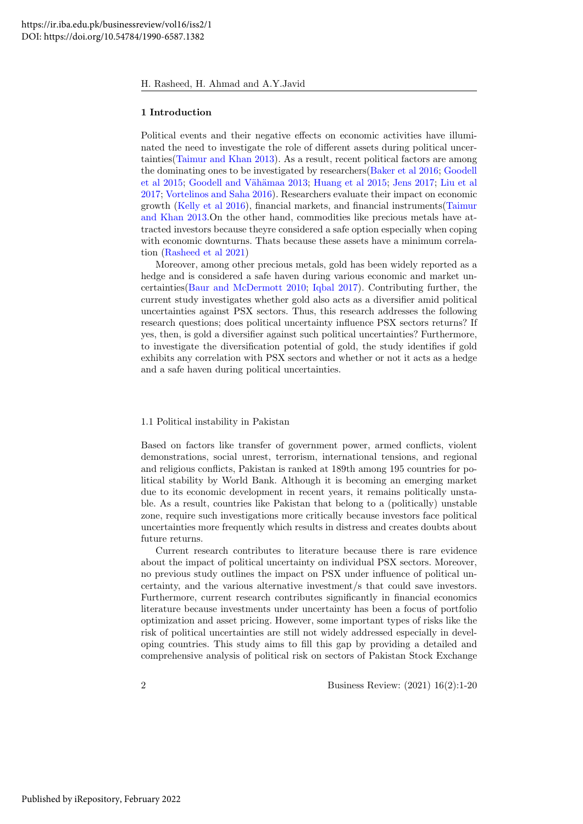#### 1 Introduction

Political events and their negative effects on economic activities have illuminated the need to investigate the role of different assets during political uncertainties[\(Taimur and Khan 2013\)](#page-19-0). As a result, recent political factors are among the dominating ones to be investigated by researchers[\(Baker et al 2016;](#page-18-0) [Goodell](#page-18-1) [et al 2015;](#page-18-1) Goodell and Vähämaa 2013; [Huang et al 2015;](#page-19-1) [Jens 2017;](#page-19-2) [Liu et al](#page-19-3) [2017;](#page-19-3) [Vortelinos and Saha 2016\)](#page-19-4). Researchers evaluate their impact on economic growth [\(Kelly et al 2016\)](#page-19-5), financial markets, and financial instruments[\(Taimur](#page-19-0) [and Khan 2013.](#page-19-0)On the other hand, commodities like precious metals have attracted investors because theyre considered a safe option especially when coping with economic downturns. Thats because these assets have a minimum correlation [\(Rasheed et al 2021\)](#page-19-6)

Moreover, among other precious metals, gold has been widely reported as a hedge and is considered a safe haven during various economic and market uncertainties[\(Baur and McDermott 2010;](#page-18-3) [Iqbal 2017\)](#page-19-7). Contributing further, the current study investigates whether gold also acts as a diversifier amid political uncertainties against PSX sectors. Thus, this research addresses the following research questions; does political uncertainty influence PSX sectors returns? If yes, then, is gold a diversifier against such political uncertainties? Furthermore, to investigate the diversification potential of gold, the study identifies if gold exhibits any correlation with PSX sectors and whether or not it acts as a hedge and a safe haven during political uncertainties.

#### 1.1 Political instability in Pakistan

Based on factors like transfer of government power, armed conflicts, violent demonstrations, social unrest, terrorism, international tensions, and regional and religious conflicts, Pakistan is ranked at 189th among 195 countries for political stability by World Bank. Although it is becoming an emerging market due to its economic development in recent years, it remains politically unstable. As a result, countries like Pakistan that belong to a (politically) unstable zone, require such investigations more critically because investors face political uncertainties more frequently which results in distress and creates doubts about future returns.

Current research contributes to literature because there is rare evidence about the impact of political uncertainty on individual PSX sectors. Moreover, no previous study outlines the impact on PSX under influence of political uncertainty, and the various alternative investment/s that could save investors. Furthermore, current research contributes significantly in financial economics literature because investments under uncertainty has been a focus of portfolio optimization and asset pricing. However, some important types of risks like the risk of political uncertainties are still not widely addressed especially in developing countries. This study aims to fill this gap by providing a detailed and comprehensive analysis of political risk on sectors of Pakistan Stock Exchange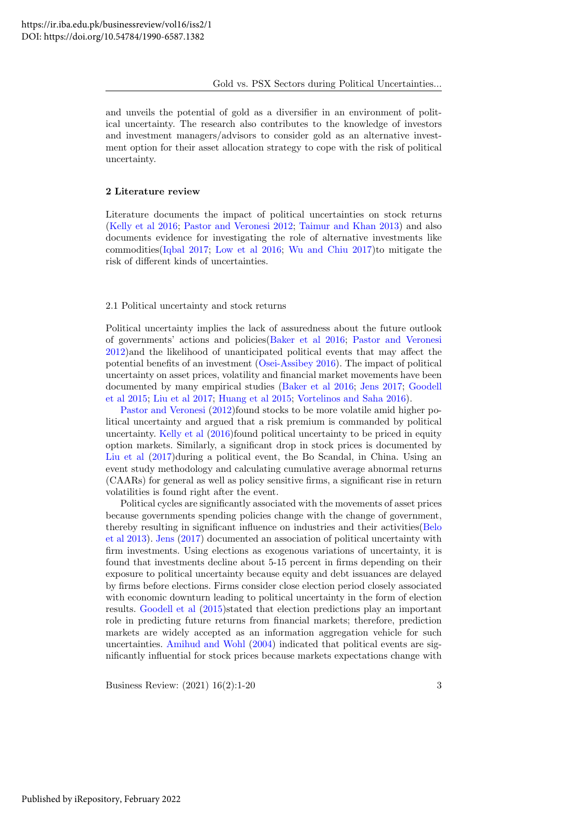and unveils the potential of gold as a diversifier in an environment of political uncertainty. The research also contributes to the knowledge of investors and investment managers/advisors to consider gold as an alternative investment option for their asset allocation strategy to cope with the risk of political uncertainty.

#### 2 Literature review

Literature documents the impact of political uncertainties on stock returns [\(Kelly et al 2016;](#page-19-5) [Pastor and Veronesi 2012;](#page-19-8) [Taimur and Khan 2013\)](#page-19-0) and also documents evidence for investigating the role of alternative investments like commodities[\(Iqbal 2017;](#page-19-7) [Low et al 2016;](#page-19-9) [Wu and Chiu 2017\)](#page-19-10)to mitigate the risk of different kinds of uncertainties.

#### 2.1 Political uncertainty and stock returns

Political uncertainty implies the lack of assuredness about the future outlook of governments' actions and policies[\(Baker et al 2016;](#page-18-0) [Pastor and Veronesi](#page-19-8) [2012\)](#page-19-8)and the likelihood of unanticipated political events that may affect the potential benefits of an investment [\(Osei-Assibey 2016\)](#page-19-11). The impact of political uncertainty on asset prices, volatility and financial market movements have been documented by many empirical studies [\(Baker et al 2016;](#page-18-0) [Jens 2017;](#page-19-2) [Goodell](#page-18-1) [et al 2015;](#page-18-1) [Liu et al 2017;](#page-19-3) [Huang et al 2015;](#page-19-1) [Vortelinos and Saha 2016\)](#page-19-4).

[Pastor and Veronesi](#page-19-8) [\(2012\)](#page-19-8)found stocks to be more volatile amid higher political uncertainty and argued that a risk premium is commanded by political uncertainty. [Kelly et al](#page-19-5)  $(2016)$  found political uncertainty to be priced in equity option markets. Similarly, a significant drop in stock prices is documented by [Liu et al](#page-19-3) [\(2017\)](#page-19-3)during a political event, the Bo Scandal, in China. Using an event study methodology and calculating cumulative average abnormal returns (CAARs) for general as well as policy sensitive firms, a significant rise in return volatilities is found right after the event.

Political cycles are significantly associated with the movements of asset prices because governments spending policies change with the change of government, thereby resulting in significant influence on industries and their activities[\(Belo](#page-18-4) [et al 2013\)](#page-18-4). [Jens](#page-19-2) [\(2017\)](#page-19-2) documented an association of political uncertainty with firm investments. Using elections as exogenous variations of uncertainty, it is found that investments decline about 5-15 percent in firms depending on their exposure to political uncertainty because equity and debt issuances are delayed by firms before elections. Firms consider close election period closely associated with economic downturn leading to political uncertainty in the form of election results. [Goodell et al](#page-18-1) [\(2015\)](#page-18-1)stated that election predictions play an important role in predicting future returns from financial markets; therefore, prediction markets are widely accepted as an information aggregation vehicle for such uncertainties. [Amihud and Wohl](#page-18-5) [\(2004\)](#page-18-5) indicated that political events are significantly influential for stock prices because markets expectations change with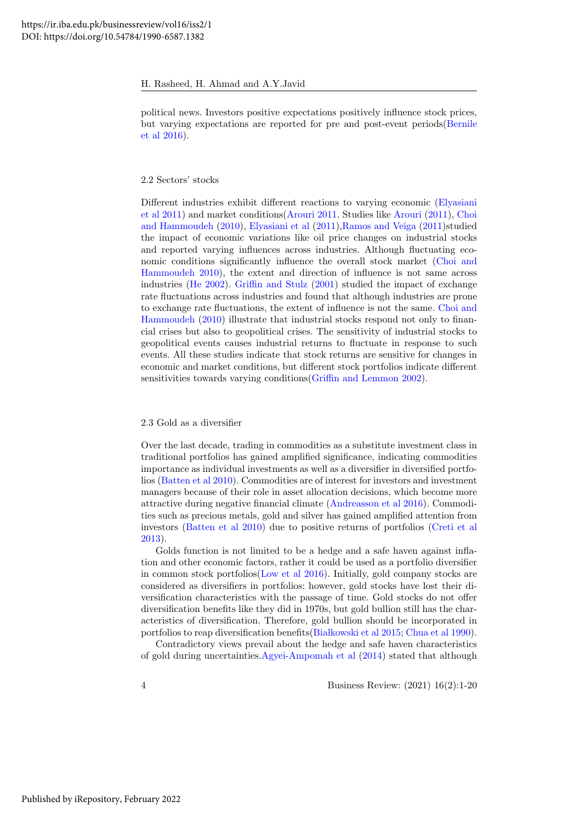political news. Investors positive expectations positively influence stock prices, but varying expectations are reported for pre and post-event periods[\(Bernile](#page-18-6) [et al 2016\)](#page-18-6).

#### 2.2 Sectors' stocks

Different industries exhibit different reactions to varying economic [\(Elyasiani](#page-18-7) [et al 2011\)](#page-18-7) and market conditions[\(Arouri 2011.](#page-18-8) Studies like [Arouri](#page-18-8) [\(2011\)](#page-18-8), [Choi](#page-18-9) [and Hammoudeh](#page-18-9) [\(2010\)](#page-18-9), [Elyasiani et al](#page-18-7) [\(2011\)](#page-18-7)[,Ramos and Veiga](#page-19-12) [\(2011\)](#page-19-12)studied the impact of economic variations like oil price changes on industrial stocks and reported varying influences across industries. Although fluctuating economic conditions significantly influence the overall stock market [\(Choi and](#page-18-9) [Hammoudeh 2010\)](#page-18-9), the extent and direction of influence is not same across industries [\(He 2002\)](#page-19-13). [Griffin and Stulz](#page-19-14) [\(2001\)](#page-19-14) studied the impact of exchange rate fluctuations across industries and found that although industries are prone to exchange rate fluctuations, the extent of influence is not the same. [Choi and](#page-18-9) [Hammoudeh](#page-18-9) [\(2010\)](#page-18-9) illustrate that industrial stocks respond not only to financial crises but also to geopolitical crises. The sensitivity of industrial stocks to geopolitical events causes industrial returns to fluctuate in response to such events. All these studies indicate that stock returns are sensitive for changes in economic and market conditions, but different stock portfolios indicate different sensitivities towards varying conditions [\(Griffin and Lemmon 2002\)](#page-19-15).

#### 2.3 Gold as a diversifier

Over the last decade, trading in commodities as a substitute investment class in traditional portfolios has gained amplified significance, indicating commodities importance as individual investments as well as a diversifier in diversified portfolios [\(Batten et al 2010\)](#page-18-10). Commodities are of interest for investors and investment managers because of their role in asset allocation decisions, which become more attractive during negative financial climate [\(Andreasson et al 2016\)](#page-18-11). Commodities such as precious metals, gold and silver has gained amplified attention from investors [\(Batten et al 2010\)](#page-18-10) due to positive returns of portfolios [\(Creti et al](#page-18-12) [2013\)](#page-18-12).

Golds function is not limited to be a hedge and a safe haven against inflation and other economic factors, rather it could be used as a portfolio diversifier in common stock portfolios[\(Low et al 2016\)](#page-19-9). Initially, gold company stocks are considered as diversifiers in portfolios; however, gold stocks have lost their diversification characteristics with the passage of time. Gold stocks do not offer diversification benefits like they did in 1970s, but gold bullion still has the characteristics of diversification. Therefore, gold bullion should be incorporated in portfolios to reap diversification benefits (Białkowski et al 2015; [Chua et al 1990\)](#page-18-14).

Contradictory views prevail about the hedge and safe haven characteristics of gold during uncertainties[.Agyei-Ampomah et al](#page-18-15) [\(2014\)](#page-18-15) stated that although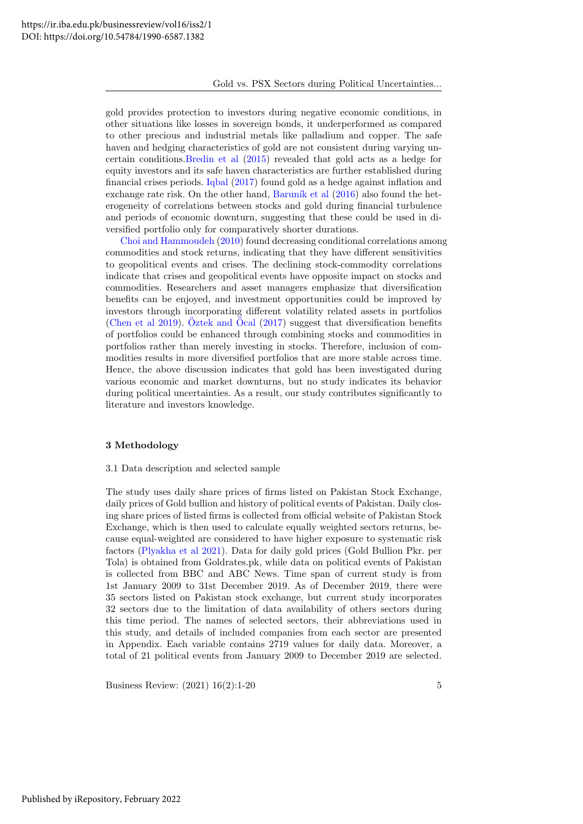gold provides protection to investors during negative economic conditions, in other situations like losses in sovereign bonds, it underperformed as compared to other precious and industrial metals like palladium and copper. The safe haven and hedging characteristics of gold are not consistent during varying uncertain conditions[.Bredin et al](#page-18-16) [\(2015\)](#page-18-16) revealed that gold acts as a hedge for equity investors and its safe haven characteristics are further established during financial crises periods. [Iqbal](#page-19-7) [\(2017\)](#page-19-7) found gold as a hedge against inflation and exchange rate risk. On the other hand, Baruník et al  $(2016)$  also found the heterogeneity of correlations between stocks and gold during financial turbulence and periods of economic downturn, suggesting that these could be used in diversified portfolio only for comparatively shorter durations.

[Choi and Hammoudeh](#page-18-9) [\(2010\)](#page-18-9) found decreasing conditional correlations among commodities and stock returns, indicating that they have different sensitivities to geopolitical events and crises. The declining stock-commodity correlations indicate that crises and geopolitical events have opposite impact on stocks and commodities. Researchers and asset managers emphasize that diversification benefits can be enjoyed, and investment opportunities could be improved by investors through incorporating different volatility related assets in portfolios [\(Chen et al 2019\)](#page-18-18). [Oztek and](#page-19-16) Ocal  $(2017)$  suggest that diversification benefits of portfolios could be enhanced through combining stocks and commodities in portfolios rather than merely investing in stocks. Therefore, inclusion of commodities results in more diversified portfolios that are more stable across time. Hence, the above discussion indicates that gold has been investigated during various economic and market downturns, but no study indicates its behavior during political uncertainties. As a result, our study contributes significantly to literature and investors knowledge.

### 3 Methodology

#### 3.1 Data description and selected sample

The study uses daily share prices of firms listed on Pakistan Stock Exchange, daily prices of Gold bullion and history of political events of Pakistan. Daily closing share prices of listed firms is collected from official website of Pakistan Stock Exchange, which is then used to calculate equally weighted sectors returns, because equal-weighted are considered to have higher exposure to systematic risk factors [\(Plyakha et al 2021\)](#page-19-17). Data for daily gold prices (Gold Bullion Pkr. per Tola) is obtained from Goldrates.pk, while data on political events of Pakistan is collected from BBC and ABC News. Time span of current study is from 1st January 2009 to 31st December 2019. As of December 2019, there were 35 sectors listed on Pakistan stock exchange, but current study incorporates 32 sectors due to the limitation of data availability of others sectors during this time period. The names of selected sectors, their abbreviations used in this study, and details of included companies from each sector are presented in Appendix. Each variable contains 2719 values for daily data. Moreover, a total of 21 political events from January 2009 to December 2019 are selected.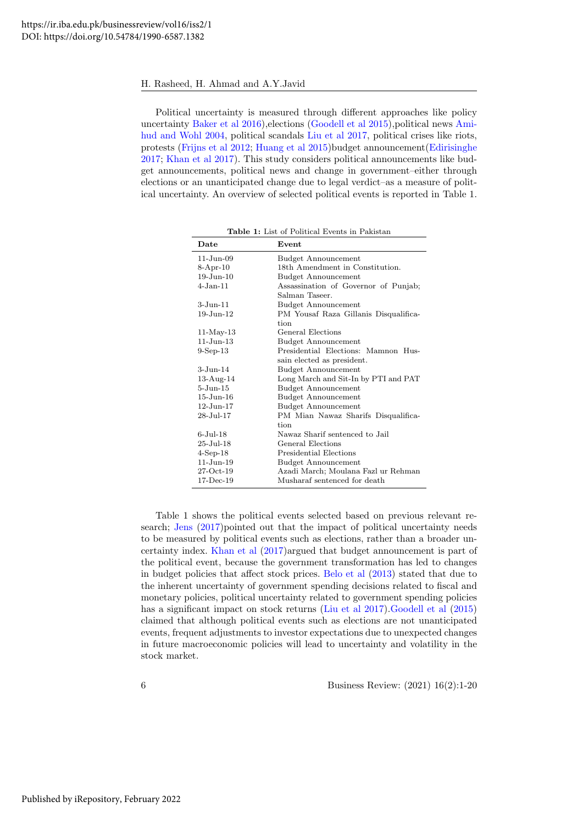Political uncertainty is measured through different approaches like policy uncertainty [Baker et al 2016\)](#page-18-0),elections [\(Goodell et al 2015\)](#page-18-1),political news [Ami](#page-18-5)[hud and Wohl 2004,](#page-18-5) political scandals [Liu et al 2017,](#page-19-3) political crises like riots, protests [\(Frijns et al 2012;](#page-18-19) [Huang et al 2015\)](#page-19-1)budget announcement[\(Edirisinghe](#page-18-20) [2017;](#page-18-20) [Khan et al 2017\)](#page-19-18). This study considers political announcements like budget announcements, political news and change in government–either through elections or an unanticipated change due to legal verdict–as a measure of political uncertainty. An overview of selected political events is reported in Table 1.

| Date                   | Event                                                  |
|------------------------|--------------------------------------------------------|
| $11-J$ un-09           | <b>Budget Announcement</b>                             |
| $8-Apr-10$             | 18th Amendment in Constitution.                        |
| $19-Jun-10$            | <b>Budget Announcement</b>                             |
| 4-Jan-11               | Assassination of Governor of Punjab;<br>Salman Taseer. |
| $3 - Jun-11$           | <b>Budget Announcement</b>                             |
| $19 - Jun - 12$        | PM Yousaf Raza Gillanis Disqualifica-<br>tion          |
| $11-May-13$            | General Elections                                      |
| $11 - J$ un- $13$      | <b>Budget Announcement</b>                             |
| $9-Sep-13$             | Presidential Elections: Mamnon Hus-                    |
|                        | sain elected as president.                             |
| $3 - Jun-14$           | <b>Budget Announcement</b>                             |
| $13-Aug-14$            | Long March and Sit-In by PTI and PAT                   |
| $5 - Jun-15$           | <b>Budget Announcement</b>                             |
| $15$ -Jun- $16$        | <b>Budget Announcement</b>                             |
| $12$ -Jun- $17$        | <b>Budget Announcement</b>                             |
| $28 - \text{Jul} - 17$ | PM Mian Nawaz Sharifs Disqualifica-                    |
|                        | tion                                                   |
| $6$ -Jul- $18$         | Nawaz Sharif sentenced to Jail                         |
| $25 -$ Jul $-18$       | General Elections                                      |
| $4$ -Sep-18            | Presidential Elections                                 |
| $11-J$ un- $19$        | <b>Budget Announcement</b>                             |
| $27-Oct-19$            | Azadi March; Moulana Fazl ur Rehman                    |
| $17-Dec-19$            | Musharaf sentenced for death                           |

Table 1: List of Political Events in Pakistan

Table 1 shows the political events selected based on previous relevant research; [Jens](#page-19-2) [\(2017\)](#page-19-2)pointed out that the impact of political uncertainty needs to be measured by political events such as elections, rather than a broader uncertainty index. [Khan et al](#page-19-18) [\(2017\)](#page-19-18)argued that budget announcement is part of the political event, because the government transformation has led to changes in budget policies that affect stock prices. [Belo et al](#page-18-4) [\(2013\)](#page-18-4) stated that due to the inherent uncertainty of government spending decisions related to fiscal and monetary policies, political uncertainty related to government spending policies has a significant impact on stock returns [\(Liu et al 2017\)](#page-19-3)[.Goodell et al](#page-18-1) [\(2015\)](#page-18-1) claimed that although political events such as elections are not unanticipated events, frequent adjustments to investor expectations due to unexpected changes in future macroeconomic policies will lead to uncertainty and volatility in the stock market.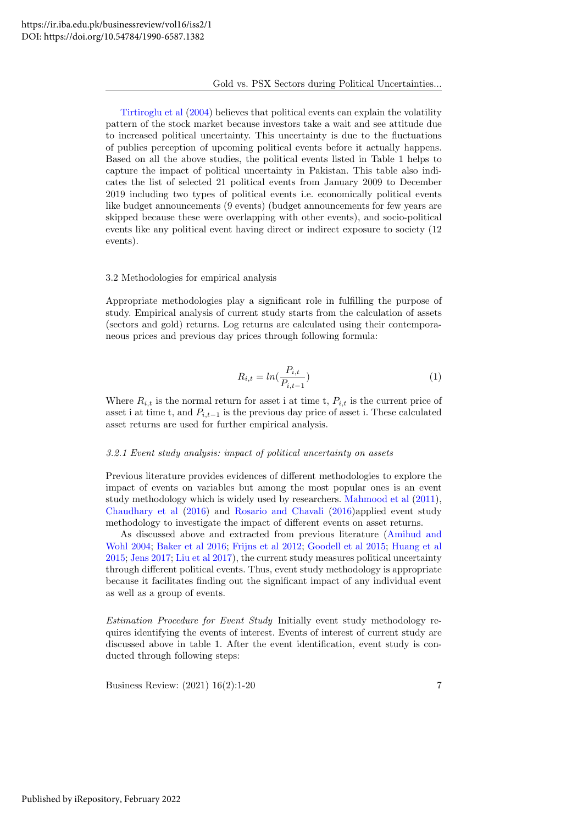#### Gold vs. PSX Sectors during Political Uncertainties...

[Tirtiroglu et al](#page-19-19) [\(2004\)](#page-19-19) believes that political events can explain the volatility pattern of the stock market because investors take a wait and see attitude due to increased political uncertainty. This uncertainty is due to the fluctuations of publics perception of upcoming political events before it actually happens. Based on all the above studies, the political events listed in Table 1 helps to capture the impact of political uncertainty in Pakistan. This table also indicates the list of selected 21 political events from January 2009 to December 2019 including two types of political events i.e. economically political events like budget announcements (9 events) (budget announcements for few years are skipped because these were overlapping with other events), and socio-political events like any political event having direct or indirect exposure to society (12 events).

#### 3.2 Methodologies for empirical analysis

Appropriate methodologies play a significant role in fulfilling the purpose of study. Empirical analysis of current study starts from the calculation of assets (sectors and gold) returns. Log returns are calculated using their contemporaneous prices and previous day prices through following formula:

$$
R_{i,t} = \ln(\frac{P_{i,t}}{P_{i,t-1}})
$$
\n(1)

Where  $R_{i,t}$  is the normal return for asset i at time t,  $P_{i,t}$  is the current price of asset i at time t, and  $P_{i,t-1}$  is the previous day price of asset i. These calculated asset returns are used for further empirical analysis.

#### 3.2.1 Event study analysis: impact of political uncertainty on assets

Previous literature provides evidences of different methodologies to explore the impact of events on variables but among the most popular ones is an event study methodology which is widely used by researchers. [Mahmood et al](#page-19-20) [\(2011\)](#page-19-20), [Chaudhary et al](#page-18-21) [\(2016\)](#page-18-21) and [Rosario and Chavali](#page-19-21) [\(2016\)](#page-19-21)applied event study methodology to investigate the impact of different events on asset returns.

As discussed above and extracted from previous literature [\(Amihud and](#page-18-5) [Wohl 2004;](#page-18-5) [Baker et al 2016;](#page-18-0) [Frijns et al 2012;](#page-18-19) [Goodell et al 2015;](#page-18-1) [Huang et al](#page-19-1) [2015;](#page-19-1) [Jens 2017;](#page-19-2) [Liu et al 2017\)](#page-19-3), the current study measures political uncertainty through different political events. Thus, event study methodology is appropriate because it facilitates finding out the significant impact of any individual event as well as a group of events.

Estimation Procedure for Event Study Initially event study methodology requires identifying the events of interest. Events of interest of current study are discussed above in table 1. After the event identification, event study is conducted through following steps: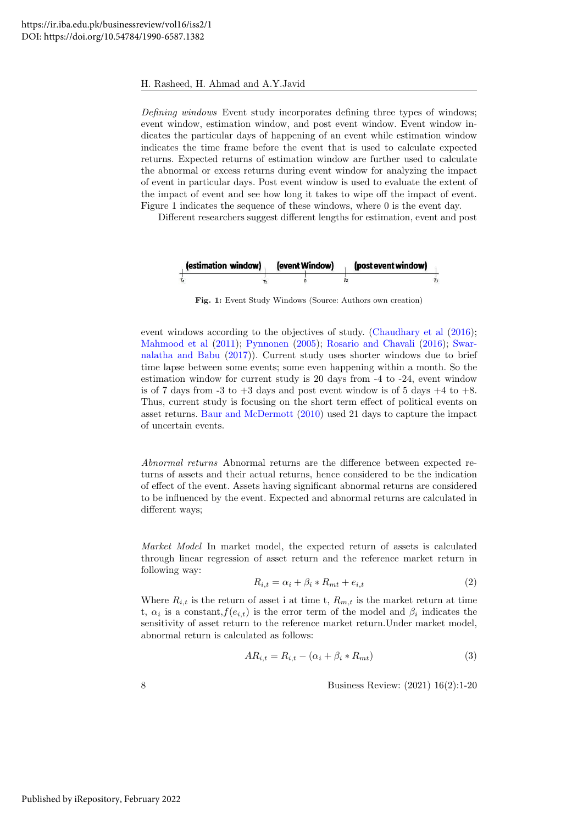Defining windows Event study incorporates defining three types of windows; event window, estimation window, and post event window. Event window indicates the particular days of happening of an event while estimation window indicates the time frame before the event that is used to calculate expected returns. Expected returns of estimation window are further used to calculate the abnormal or excess returns during event window for analyzing the impact of event in particular days. Post event window is used to evaluate the extent of the impact of event and see how long it takes to wipe off the impact of event. Figure 1 indicates the sequence of these windows, where 0 is the event day.

Different researchers suggest different lengths for estimation, event and post

| (estimation window) | (event Window) | (post event window) |  |
|---------------------|----------------|---------------------|--|
|                     |                |                     |  |

Fig. 1: Event Study Windows (Source: Authors own creation)

event windows according to the objectives of study. [\(Chaudhary et al](#page-18-21)  $(2016)$ ; [Mahmood et al](#page-19-20) [\(2011\)](#page-19-20); [Pynnonen](#page-19-22) [\(2005\)](#page-19-22); [Rosario and Chavali](#page-19-21) [\(2016\)](#page-19-21); [Swar](#page-19-23)[nalatha and Babu](#page-19-23) [\(2017\)](#page-19-23)). Current study uses shorter windows due to brief time lapse between some events; some even happening within a month. So the estimation window for current study is 20 days from -4 to -24, event window is of 7 days from  $-3$  to  $+3$  days and post event window is of 5 days  $+4$  to  $+8$ . Thus, current study is focusing on the short term effect of political events on asset returns. [Baur and McDermott](#page-18-3) [\(2010\)](#page-18-3) used 21 days to capture the impact of uncertain events.

Abnormal returns Abnormal returns are the difference between expected returns of assets and their actual returns, hence considered to be the indication of effect of the event. Assets having significant abnormal returns are considered to be influenced by the event. Expected and abnormal returns are calculated in different ways;

Market Model In market model, the expected return of assets is calculated through linear regression of asset return and the reference market return in following way:

$$
R_{i,t} = \alpha_i + \beta_i * R_{mt} + e_{i,t} \tag{2}
$$

Where  $R_{i,t}$  is the return of asset i at time t,  $R_{m,t}$  is the market return at time t,  $\alpha_i$  is a constant,  $f(e_{i,t})$  is the error term of the model and  $\beta_i$  indicates the sensitivity of asset return to the reference market return.Under market model, abnormal return is calculated as follows:

$$
AR_{i,t} = R_{i,t} - (\alpha_i + \beta_i * R_{mt})
$$
\n<sup>(3)</sup>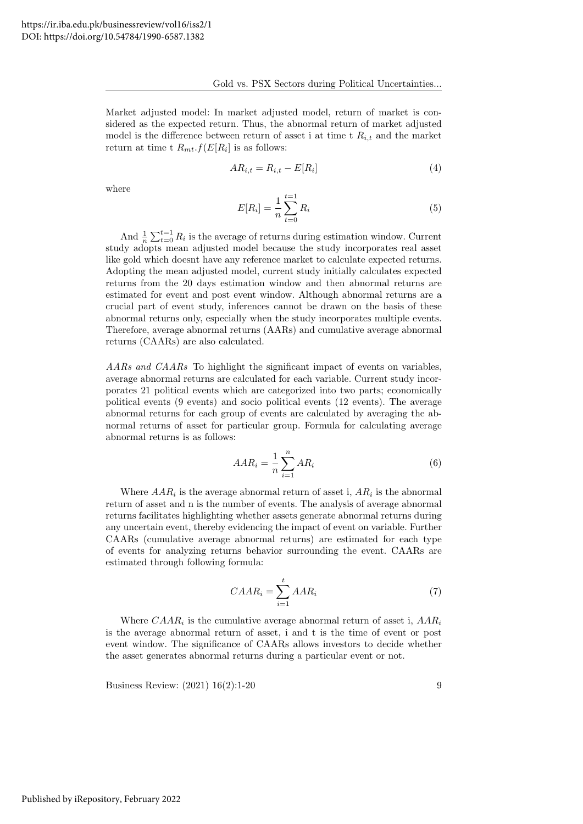Market adjusted model: In market adjusted model, return of market is considered as the expected return. Thus, the abnormal return of market adjusted model is the difference between return of asset i at time t  $R_{i,t}$  and the market return at time t  $R_{mt}.f(E[R_i])$  is as follows:

$$
AR_{i,t} = R_{i,t} - E[R_i]
$$
\n<sup>(4)</sup>

where

$$
E[R_i] = \frac{1}{n} \sum_{t=0}^{t=1} R_i
$$
\n(5)

And  $\frac{1}{n} \sum_{t=0}^{t=1} R_i$  is the average of returns during estimation window. Current study adopts mean adjusted model because the study incorporates real asset like gold which doesnt have any reference market to calculate expected returns. Adopting the mean adjusted model, current study initially calculates expected returns from the 20 days estimation window and then abnormal returns are estimated for event and post event window. Although abnormal returns are a crucial part of event study, inferences cannot be drawn on the basis of these abnormal returns only, especially when the study incorporates multiple events. Therefore, average abnormal returns (AARs) and cumulative average abnormal returns (CAARs) are also calculated.

AARs and CAARs To highlight the significant impact of events on variables, average abnormal returns are calculated for each variable. Current study incorporates 21 political events which are categorized into two parts; economically political events (9 events) and socio political events (12 events). The average abnormal returns for each group of events are calculated by averaging the abnormal returns of asset for particular group. Formula for calculating average abnormal returns is as follows:

$$
AAR_i = \frac{1}{n} \sum_{i=1}^{n} AR_i
$$
\n<sup>(6)</sup>

Where  $AAR_i$  is the average abnormal return of asset i,  $AR_i$  is the abnormal return of asset and n is the number of events. The analysis of average abnormal returns facilitates highlighting whether assets generate abnormal returns during any uncertain event, thereby evidencing the impact of event on variable. Further CAARs (cumulative average abnormal returns) are estimated for each type of events for analyzing returns behavior surrounding the event. CAARs are estimated through following formula:

$$
CAAR_i = \sum_{i=1}^{t} AAR_i
$$
 (7)

Where  $CAAR_i$  is the cumulative average abnormal return of asset i,  $AAR_i$ is the average abnormal return of asset, i and t is the time of event or post event window. The significance of CAARs allows investors to decide whether the asset generates abnormal returns during a particular event or not.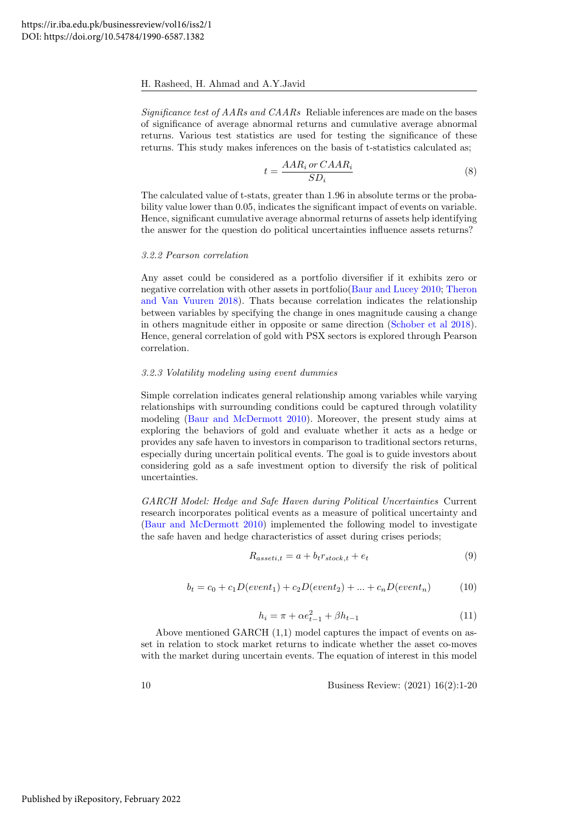Significance test of AARs and CAARs Reliable inferences are made on the bases of significance of average abnormal returns and cumulative average abnormal returns. Various test statistics are used for testing the significance of these returns. This study makes inferences on the basis of t-statistics calculated as;

$$
t = \frac{AAR_i \, or \, CAR_i}{SD_i} \tag{8}
$$

The calculated value of t-stats, greater than 1.96 in absolute terms or the probability value lower than 0.05, indicates the significant impact of events on variable. Hence, significant cumulative average abnormal returns of assets help identifying the answer for the question do political uncertainties influence assets returns?

### 3.2.2 Pearson correlation

Any asset could be considered as a portfolio diversifier if it exhibits zero or negative correlation with other assets in portfolio[\(Baur and Lucey 2010;](#page-18-22) [Theron](#page-19-24) [and Van Vuuren 2018\)](#page-19-24). Thats because correlation indicates the relationship between variables by specifying the change in ones magnitude causing a change in others magnitude either in opposite or same direction [\(Schober et al 2018\)](#page-19-25). Hence, general correlation of gold with PSX sectors is explored through Pearson correlation.

#### 3.2.3 Volatility modeling using event dummies

Simple correlation indicates general relationship among variables while varying relationships with surrounding conditions could be captured through volatility modeling [\(Baur and McDermott 2010\)](#page-18-3). Moreover, the present study aims at exploring the behaviors of gold and evaluate whether it acts as a hedge or provides any safe haven to investors in comparison to traditional sectors returns, especially during uncertain political events. The goal is to guide investors about considering gold as a safe investment option to diversify the risk of political uncertainties.

GARCH Model: Hedge and Safe Haven during Political Uncertainties Current research incorporates political events as a measure of political uncertainty and [\(Baur and McDermott 2010\)](#page-18-3) implemented the following model to investigate the safe haven and hedge characteristics of asset during crises periods;

$$
R_{asseti,t} = a + b_t r_{stock,t} + e_t \tag{9}
$$

$$
b_t = c_0 + c_1 D(event_1) + c_2 D(event_2) + \dots + c_n D(event_n)
$$
 (10)

$$
h_i = \pi + \alpha e_{t-1}^2 + \beta h_{t-1}
$$
\n(11)

Above mentioned GARCH (1,1) model captures the impact of events on asset in relation to stock market returns to indicate whether the asset co-moves with the market during uncertain events. The equation of interest in this model

$$
10 \t\t \text{Business Review: } (2021) \t16(2):1-20
$$

Published by iRepository, February 2022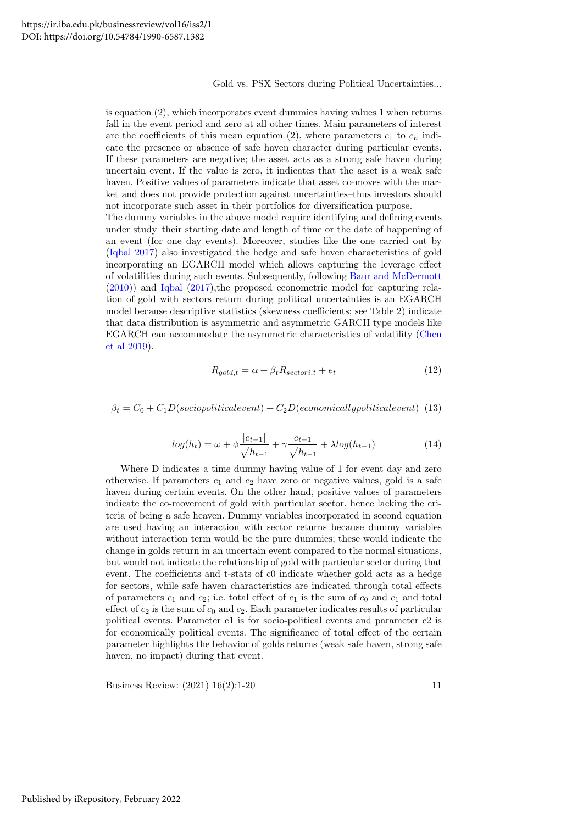is equation (2), which incorporates event dummies having values 1 when returns fall in the event period and zero at all other times. Main parameters of interest are the coefficients of this mean equation (2), where parameters  $c_1$  to  $c_n$  indicate the presence or absence of safe haven character during particular events. If these parameters are negative; the asset acts as a strong safe haven during uncertain event. If the value is zero, it indicates that the asset is a weak safe haven. Positive values of parameters indicate that asset co-moves with the market and does not provide protection against uncertainties–thus investors should not incorporate such asset in their portfolios for diversification purpose. The dummy variables in the above model require identifying and defining events

under study–their starting date and length of time or the date of happening of an event (for one day events). Moreover, studies like the one carried out by [\(Iqbal 2017\)](#page-19-7) also investigated the hedge and safe haven characteristics of gold incorporating an EGARCH model which allows capturing the leverage effect of volatilities during such events. Subsequently, following [Baur and McDermott](#page-18-3) [\(2010\)](#page-18-3)) and [Iqbal](#page-19-7) [\(2017\)](#page-19-7),the proposed econometric model for capturing relation of gold with sectors return during political uncertainties is an EGARCH model because descriptive statistics (skewness coefficients; see Table 2) indicate that data distribution is asymmetric and asymmetric GARCH type models like EGARCH can accommodate the asymmetric characteristics of volatility [\(Chen](#page-18-18) [et al 2019\)](#page-18-18).

$$
R_{gold, t} = \alpha + \beta_t R_{sectori, t} + e_t \tag{12}
$$

 $\beta_t = C_0 + C_1D(sociopoliticalevent) + C_2D(economically political event)$  (13)

$$
log(h_t) = \omega + \phi \frac{|e_{t-1}|}{\sqrt{h_{t-1}}} + \gamma \frac{e_{t-1}}{\sqrt{h_{t-1}}} + \lambda log(h_{t-1})
$$
\n(14)

Where D indicates a time dummy having value of 1 for event day and zero otherwise. If parameters  $c_1$  and  $c_2$  have zero or negative values, gold is a safe haven during certain events. On the other hand, positive values of parameters indicate the co-movement of gold with particular sector, hence lacking the criteria of being a safe heaven. Dummy variables incorporated in second equation are used having an interaction with sector returns because dummy variables without interaction term would be the pure dummies; these would indicate the change in golds return in an uncertain event compared to the normal situations, but would not indicate the relationship of gold with particular sector during that event. The coefficients and t-stats of c0 indicate whether gold acts as a hedge for sectors, while safe haven characteristics are indicated through total effects of parameters  $c_1$  and  $c_2$ ; i.e. total effect of  $c_1$  is the sum of  $c_0$  and  $c_1$  and total effect of  $c_2$  is the sum of  $c_0$  and  $c_2$ . Each parameter indicates results of particular political events. Parameter c1 is for socio-political events and parameter c2 is for economically political events. The significance of total effect of the certain parameter highlights the behavior of golds returns (weak safe haven, strong safe haven, no impact) during that event.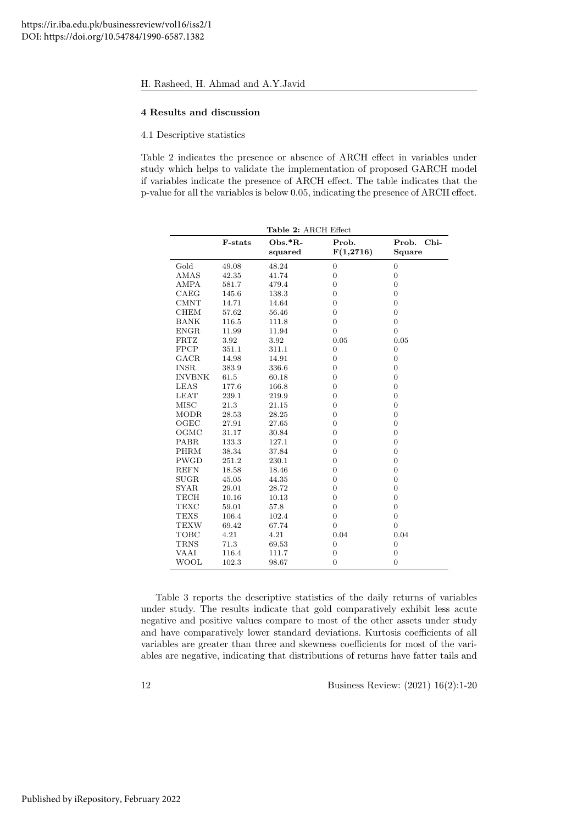#### 4 Results and discussion

4.1 Descriptive statistics

Table 2 indicates the presence or absence of ARCH effect in variables under study which helps to validate the implementation of proposed GARCH model if variables indicate the presence of ARCH effect. The table indicates that the p-value for all the variables is below 0.05, indicating the presence of ARCH effect.

|               | Table 2: ARCH Effect |                    |                    |                           |  |
|---------------|----------------------|--------------------|--------------------|---------------------------|--|
|               | F-stats              | Obs.*R-<br>squared | Prob.<br>F(1,2716) | $Chi-$<br>Prob.<br>Square |  |
| Gold          | 49.08                | 48.24              | $\boldsymbol{0}$   | $\boldsymbol{0}$          |  |
| AMAS          | 42.35                | 41.74              | $\overline{0}$     | $\overline{0}$            |  |
| ${\rm AMPA}$  | 581.7                | 479.4              | $\overline{0}$     | $\overline{0}$            |  |
| CAEG          | 145.6                | 138.3              | $\overline{0}$     | $\overline{0}$            |  |
| <b>CMNT</b>   | 14.71                | 14.64              | $\boldsymbol{0}$   | $\boldsymbol{0}$          |  |
| <b>CHEM</b>   | 57.62                | 56.46              | $\overline{0}$     | $\boldsymbol{0}$          |  |
| <b>BANK</b>   | 116.5                | 111.8              | $\overline{0}$     | $\overline{0}$            |  |
| <b>ENGR</b>   | 11.99                | 11.94              | $\overline{0}$     | $\overline{0}$            |  |
| <b>FRTZ</b>   | 3.92                 | 3.92               | 0.05               | 0.05                      |  |
| <b>FPCP</b>   | 351.1                | 311.1              | $\boldsymbol{0}$   | $\boldsymbol{0}$          |  |
| GACR          | 14.98                | 14.91              | $\boldsymbol{0}$   | $\overline{0}$            |  |
| <b>INSR</b>   | 383.9                | 336.6              | $\boldsymbol{0}$   | $\boldsymbol{0}$          |  |
| <b>INVBNK</b> | 61.5                 | 60.18              | $\boldsymbol{0}$   | $\boldsymbol{0}$          |  |
| <b>LEAS</b>   | 177.6                | 166.8              | $\overline{0}$     | $\overline{0}$            |  |
| <b>LEAT</b>   | 239.1                | 219.9              | $\boldsymbol{0}$   | $\overline{0}$            |  |
| MISC          | 21.3                 | 21.15              | $\boldsymbol{0}$   | $\overline{0}$            |  |
| <b>MODR</b>   | 28.53                | 28.25              | $\overline{0}$     | $\overline{0}$            |  |
| OGEC          | 27.91                | 27.65              | $\boldsymbol{0}$   | $\overline{0}$            |  |
| OGMC          | 31.17                | 30.84              | $\boldsymbol{0}$   | $\overline{0}$            |  |
| <b>PABR</b>   | 133.3                | 127.1              | $\boldsymbol{0}$   | $\overline{0}$            |  |
| PHRM          | 38.34                | 37.84              | $\overline{0}$     | $\overline{0}$            |  |
| <b>PWGD</b>   | 251.2                | 230.1              | $\overline{0}$     | $\overline{0}$            |  |
| <b>REFN</b>   | 18.58                | 18.46              | $\boldsymbol{0}$   | $\overline{0}$            |  |
| <b>SUGR</b>   | 45.05                | 44.35              | $\overline{0}$     | $\overline{0}$            |  |
| <b>SYAR</b>   | 29.01                | 28.72              | $\boldsymbol{0}$   | $\overline{0}$            |  |
| <b>TECH</b>   | 10.16                | 10.13              | $\boldsymbol{0}$   | $\overline{0}$            |  |
| TEXC          | 59.01                | 57.8               | $\overline{0}$     | $\overline{0}$            |  |
| <b>TEXS</b>   | 106.4                | 102.4              | $\boldsymbol{0}$   | $\overline{0}$            |  |
| <b>TEXW</b>   | 69.42                | 67.74              | $\Omega$           | $\Omega$                  |  |
| TOBC          | 4.21                 | 4.21               | 0.04               | 0.04                      |  |
| <b>TRNS</b>   | 71.3                 | 69.53              | $\boldsymbol{0}$   | $\overline{0}$            |  |
| VAAI          | 116.4                | 111.7              | $\overline{0}$     | $\overline{0}$            |  |
| WOOL          | 102.3                | 98.67              | $\overline{0}$     | $\overline{0}$            |  |

Table 3 reports the descriptive statistics of the daily returns of variables under study. The results indicate that gold comparatively exhibit less acute negative and positive values compare to most of the other assets under study and have comparatively lower standard deviations. Kurtosis coefficients of all variables are greater than three and skewness coefficients for most of the variables are negative, indicating that distributions of returns have fatter tails and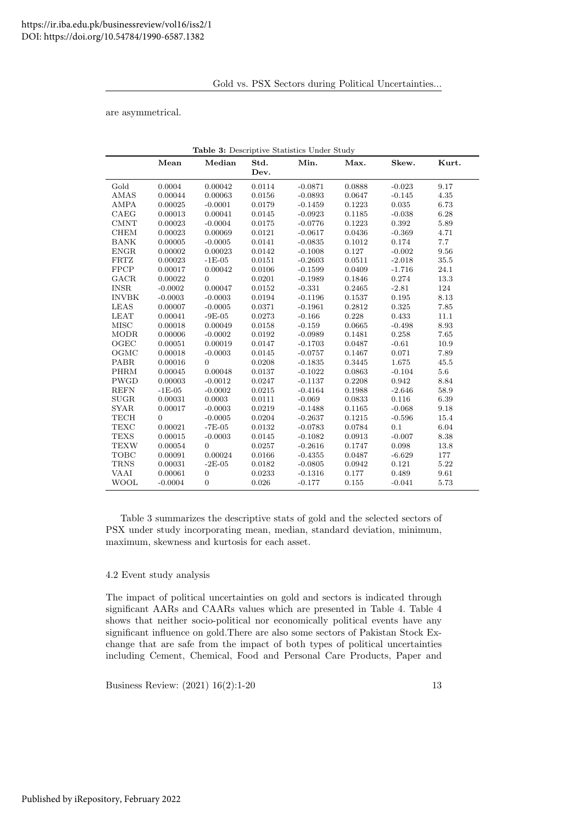Gold vs. PSX Sectors during Political Uncertainties...

are asymmetrical.

| Table 3: Descriptive Statistics Under Study |           |                  |              |           |        |          |          |
|---------------------------------------------|-----------|------------------|--------------|-----------|--------|----------|----------|
|                                             | Mean      | Median           | Std.<br>Dev. | Min.      | Max.   | Skew.    | Kurt.    |
| Gold                                        | 0.0004    | 0.00042          | 0.0114       | $-0.0871$ | 0.0888 | $-0.023$ | 9.17     |
| AMAS                                        | 0.00044   | 0.00063          | 0.0156       | $-0.0893$ | 0.0647 | $-0.145$ | 4.35     |
| <b>AMPA</b>                                 | 0.00025   | $-0.0001$        | 0.0179       | $-0.1459$ | 0.1223 | 0.035    | 6.73     |
| CAEG                                        | 0.00013   | 0.00041          | 0.0145       | $-0.0923$ | 0.1185 | $-0.038$ | 6.28     |
| <b>CMNT</b>                                 | 0.00023   | $-0.0004$        | 0.0175       | $-0.0776$ | 0.1223 | 0.392    | 5.89     |
| <b>CHEM</b>                                 | 0.00023   | 0.00069          | $0.0121\,$   | $-0.0617$ | 0.0436 | $-0.369$ | 4.71     |
| <b>BANK</b>                                 | 0.00005   | $-0.0005$        | 0.0141       | $-0.0835$ | 0.1012 | 0.174    | 7.7      |
| <b>ENGR</b>                                 | 0.00002   | 0.00023          | 0.0142       | $-0.1008$ | 0.127  | $-0.002$ | 9.56     |
| FRTZ                                        | 0.00023   | $-1E-05$         | 0.0151       | $-0.2603$ | 0.0511 | $-2.018$ | $35.5\,$ |
| <b>FPCP</b>                                 | 0.00017   | 0.00042          | 0.0106       | $-0.1599$ | 0.0409 | $-1.716$ | 24.1     |
| GACR                                        | 0.00022   | $\overline{0}$   | 0.0201       | $-0.1989$ | 0.1846 | 0.274    | 13.3     |
| <b>INSR</b>                                 | $-0.0002$ | 0.00047          | 0.0152       | $-0.331$  | 0.2465 | $-2.81$  | 124      |
| <b>INVBK</b>                                | $-0.0003$ | $-0.0003$        | 0.0194       | $-0.1196$ | 0.1537 | 0.195    | 8.13     |
| LEAS                                        | 0.00007   | $-0.0005$        | 0.0371       | $-0.1961$ | 0.2812 | 0.325    | 7.85     |
| <b>LEAT</b>                                 | 0.00041   | $-9E-05$         | 0.0273       | $-0.166$  | 0.228  | 0.433    | 11.1     |
| <b>MISC</b>                                 | 0.00018   | 0.00049          | 0.0158       | $-0.159$  | 0.0665 | $-0.498$ | 8.93     |
| <b>MODR</b>                                 | 0.00006   | $-0.0002$        | 0.0192       | $-0.0989$ | 0.1481 | 0.258    | 7.65     |
| OGEC                                        | 0.00051   | 0.00019          | 0.0147       | $-0.1703$ | 0.0487 | $-0.61$  | 10.9     |
| OGMC                                        | 0.00018   | $-0.0003$        | 0.0145       | $-0.0757$ | 0.1467 | 0.071    | 7.89     |
| <b>PABR</b>                                 | 0.00016   | $\overline{0}$   | 0.0208       | $-0.1835$ | 0.3445 | 1.675    | 45.5     |
| <b>PHRM</b>                                 | 0.00045   | 0.00048          | 0.0137       | $-0.1022$ | 0.0863 | $-0.104$ | 5.6      |
| PWGD                                        | 0.00003   | $-0.0012$        | 0.0247       | $-0.1137$ | 0.2208 | 0.942    | 8.84     |
| <b>REFN</b>                                 | $-1E-05$  | $-0.0002$        | 0.0215       | $-0.4164$ | 0.1988 | $-2.646$ | 58.9     |
| <b>SUGR</b>                                 | 0.00031   | 0.0003           | 0.0111       | $-0.069$  | 0.0833 | 0.116    | 6.39     |
| <b>SYAR</b>                                 | 0.00017   | $-0.0003$        | 0.0219       | $-0.1488$ | 0.1165 | $-0.068$ | 9.18     |
| TECH                                        | $\Omega$  | $-0.0005$        | 0.0204       | $-0.2637$ | 0.1215 | $-0.596$ | 15.4     |
| <b>TEXC</b>                                 | 0.00021   | $-7E-05$         | 0.0132       | $-0.0783$ | 0.0784 | 0.1      | 6.04     |
| <b>TEXS</b>                                 | 0.00015   | $-0.0003$        | 0.0145       | $-0.1082$ | 0.0913 | $-0.007$ | 8.38     |
| <b>TEXW</b>                                 | 0.00054   | $\overline{0}$   | 0.0257       | $-0.2616$ | 0.1747 | 0.098    | 13.8     |
| TOBC                                        | 0.00091   | 0.00024          | 0.0166       | $-0.4355$ | 0.0487 | $-6.629$ | 177      |
| <b>TRNS</b>                                 | 0.00031   | $-2E-05$         | 0.0182       | $-0.0805$ | 0.0942 | 0.121    | 5.22     |
| VAAI                                        | 0.00061   | $\boldsymbol{0}$ | 0.0233       | $-0.1316$ | 0.177  | 0.489    | 9.61     |
| <b>WOOL</b>                                 | $-0.0004$ | $\boldsymbol{0}$ | 0.026        | $-0.177$  | 0.155  | $-0.041$ | 5.73     |

Table 3 summarizes the descriptive stats of gold and the selected sectors of PSX under study incorporating mean, median, standard deviation, minimum, maximum, skewness and kurtosis for each asset.

# 4.2 Event study analysis

The impact of political uncertainties on gold and sectors is indicated through significant AARs and CAARs values which are presented in Table 4. Table 4 shows that neither socio-political nor economically political events have any significant influence on gold.There are also some sectors of Pakistan Stock Exchange that are safe from the impact of both types of political uncertainties including Cement, Chemical, Food and Personal Care Products, Paper and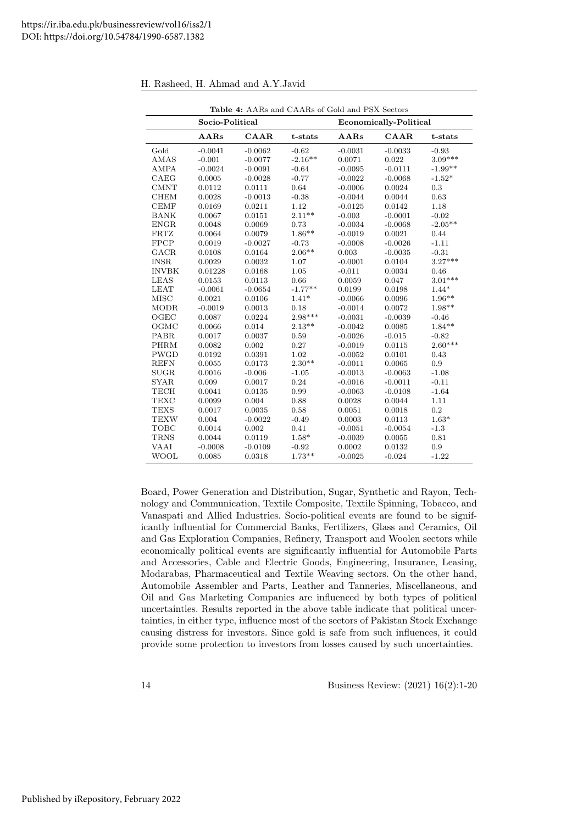|              | Table 4: AARs and CAARs of Gold and PSX Sectors |           |           |                        |           |           |
|--------------|-------------------------------------------------|-----------|-----------|------------------------|-----------|-----------|
|              | Socio-Political                                 |           |           | Economically-Political |           |           |
|              | AARs                                            | $CAAR$    | t-stats   | AARs                   | $CAAR$    | t-stats   |
| Gold         | $-0.0041$                                       | $-0.0062$ | $-0.62$   | $-0.0031$              | $-0.0033$ | $-0.93$   |
| AMAS         | $-0.001$                                        | $-0.0077$ | $-2.16**$ | 0.0071                 | 0.022     | $3.09***$ |
| <b>AMPA</b>  | $-0.0024$                                       | $-0.0091$ | $-0.64$   | $-0.0095$              | $-0.0111$ | $-1.99**$ |
| CAEG         | 0.0005                                          | $-0.0028$ | $-0.77$   | $-0.0022$              | $-0.0068$ | $-1.52*$  |
| <b>CMNT</b>  | 0.0112                                          | 0.0111    | 0.64      | $-0.0006$              | 0.0024    | 0.3       |
| <b>CHEM</b>  | 0.0028                                          | $-0.0013$ | $-0.38$   | $-0.0044$              | 0.0044    | 0.63      |
| <b>CEMF</b>  | 0.0169                                          | 0.0211    | 1.12      | $-0.0125$              | 0.0142    | 1.18      |
| <b>BANK</b>  | 0.0067                                          | 0.0151    | $2.11**$  | $-0.003$               | $-0.0001$ | $-0.02$   |
| <b>ENGR</b>  | 0.0048                                          | 0.0069    | 0.73      | $-0.0034$              | $-0.0068$ | $-2.05**$ |
| <b>FRTZ</b>  | 0.0064                                          | 0.0079    | $1.86**$  | $-0.0019$              | 0.0021    | 0.44      |
| <b>FPCP</b>  | 0.0019                                          | $-0.0027$ | $-0.73$   | $-0.0008$              | $-0.0026$ | $-1.11$   |
| GACR         | 0.0108                                          | 0.0164    | $2.06**$  | 0.003                  | $-0.0035$ | $-0.31$   |
| <b>INSR</b>  | 0.0029                                          | 0.0032    | 1.07      | $-0.0001$              | 0.0104    | $3.27***$ |
| <b>INVBK</b> | 0.01228                                         | 0.0168    | 1.05      | $-0.011$               | 0.0034    | 0.46      |
| <b>LEAS</b>  | $\,0.0153\,$                                    | 0.0113    | 0.66      | 0.0059                 | 0.047     | $3.01***$ |
| <b>LEAT</b>  | $-0.0061$                                       | $-0.0654$ | $-1.77**$ | 0.0199                 | 0.0198    | $1.44*$   |
| <b>MISC</b>  | 0.0021                                          | 0.0106    | $1.41*$   | $-0.0066$              | 0.0096    | $1.96**$  |
| <b>MODR</b>  | $-0.0019$                                       | 0.0013    | 0.18      | $-0.0014$              | 0.0072    | $1.98**$  |
| OGEC         | 0.0087                                          | 0.0224    | 2.98***   | $-0.0031$              | $-0.0039$ | $-0.46$   |
| OGMC         | 0.0066                                          | 0.014     | $2.13**$  | $-0.0042$              | 0.0085    | $1.84**$  |
| PABR         | 0.0017                                          | 0.0037    | 0.59      | $-0.0026$              | $-0.015$  | $-0.82$   |
| <b>PHRM</b>  | 0.0082                                          | 0.002     | 0.27      | $-0.0019$              | 0.0115    | $2.60***$ |
| <b>PWGD</b>  | 0.0192                                          | 0.0391    | 1.02      | $-0.0052$              | 0.0101    | 0.43      |
| <b>REFN</b>  | 0.0055                                          | 0.0173    | $2.30**$  | $-0.0011$              | 0.0065    | 0.9       |
| <b>SUGR</b>  | 0.0016                                          | $-0.006$  | $-1.05$   | $-0.0013$              | $-0.0063$ | $-1.08$   |
| <b>SYAR</b>  | 0.009                                           | 0.0017    | 0.24      | $-0.0016$              | $-0.0011$ | $-0.11$   |
| TECH         | 0.0041                                          | 0.0135    | 0.99      | $-0.0063$              | $-0.0108$ | $-1.64$   |
| <b>TEXC</b>  | 0.0099                                          | 0.004     | 0.88      | 0.0028                 | 0.0044    | 1.11      |
| <b>TEXS</b>  | 0.0017                                          | 0.0035    | 0.58      | 0.0051                 | 0.0018    | 0.2       |
| <b>TEXW</b>  | 0.004                                           | $-0.0022$ | $-0.49$   | 0.0003                 | 0.0113    | $1.63*$   |
| <b>TOBC</b>  | 0.0014                                          | 0.002     | 0.41      | $-0.0051$              | $-0.0054$ | $-1.3$    |
| <b>TRNS</b>  | 0.0044                                          | 0.0119    | $1.58*$   | $-0.0039$              | 0.0055    | 0.81      |
| <b>VAAI</b>  | $-0.0008$                                       | $-0.0109$ | $-0.92$   | 0.0002                 | 0.0132    | 0.9       |
| WOOL         | 0.0085                                          | 0.0318    | $1.73**$  | $-0.0025$              | $-0.024$  | $-1.22$   |

H. Rasheed, H. Ahmad and A.Y.Javid

Board, Power Generation and Distribution, Sugar, Synthetic and Rayon, Technology and Communication, Textile Composite, Textile Spinning, Tobacco, and Vanaspati and Allied Industries. Socio-political events are found to be significantly influential for Commercial Banks, Fertilizers, Glass and Ceramics, Oil and Gas Exploration Companies, Refinery, Transport and Woolen sectors while economically political events are significantly influential for Automobile Parts and Accessories, Cable and Electric Goods, Engineering, Insurance, Leasing, Modarabas, Pharmaceutical and Textile Weaving sectors. On the other hand, Automobile Assembler and Parts, Leather and Tanneries, Miscellaneous, and Oil and Gas Marketing Companies are influenced by both types of political uncertainties. Results reported in the above table indicate that political uncertainties, in either type, influence most of the sectors of Pakistan Stock Exchange causing distress for investors. Since gold is safe from such influences, it could provide some protection to investors from losses caused by such uncertainties.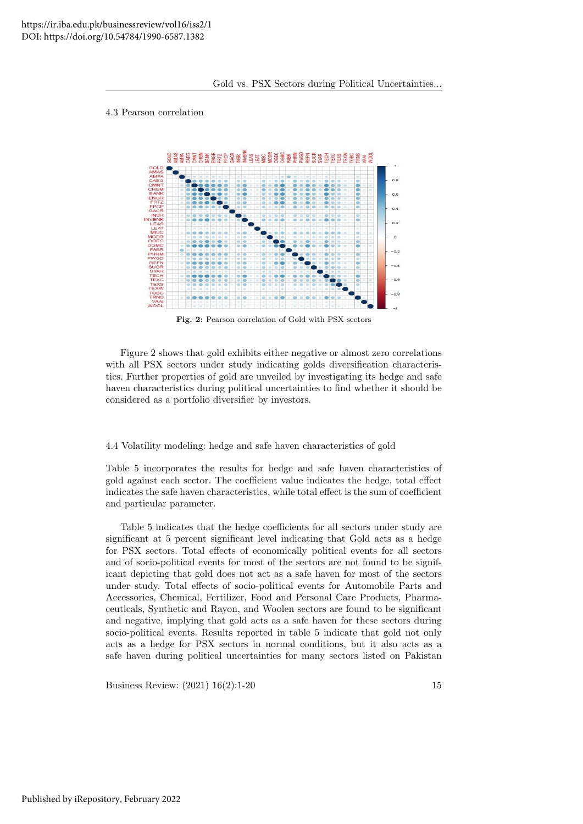## 4.3 Pearson correlation



Fig. 2: Pearson correlation of Gold with PSX sectors

Figure 2 shows that gold exhibits either negative or almost zero correlations with all PSX sectors under study indicating golds diversification characteristics. Further properties of gold are unveiled by investigating its hedge and safe haven characteristics during political uncertainties to find whether it should be considered as a portfolio diversifier by investors.

4.4 Volatility modeling: hedge and safe haven characteristics of gold

Table 5 incorporates the results for hedge and safe haven characteristics of gold against each sector. The coefficient value indicates the hedge, total effect indicates the safe haven characteristics, while total effect is the sum of coefficient and particular parameter.

Table 5 indicates that the hedge coefficients for all sectors under study are significant at 5 percent significant level indicating that Gold acts as a hedge for PSX sectors. Total effects of economically political events for all sectors and of socio-political events for most of the sectors are not found to be significant depicting that gold does not act as a safe haven for most of the sectors under study. Total effects of socio-political events for Automobile Parts and Accessories, Chemical, Fertilizer, Food and Personal Care Products, Pharmaceuticals, Synthetic and Rayon, and Woolen sectors are found to be significant and negative, implying that gold acts as a safe haven for these sectors during socio-political events. Results reported in table 5 indicate that gold not only acts as a hedge for PSX sectors in normal conditions, but it also acts as a safe haven during political uncertainties for many sectors listed on Pakistan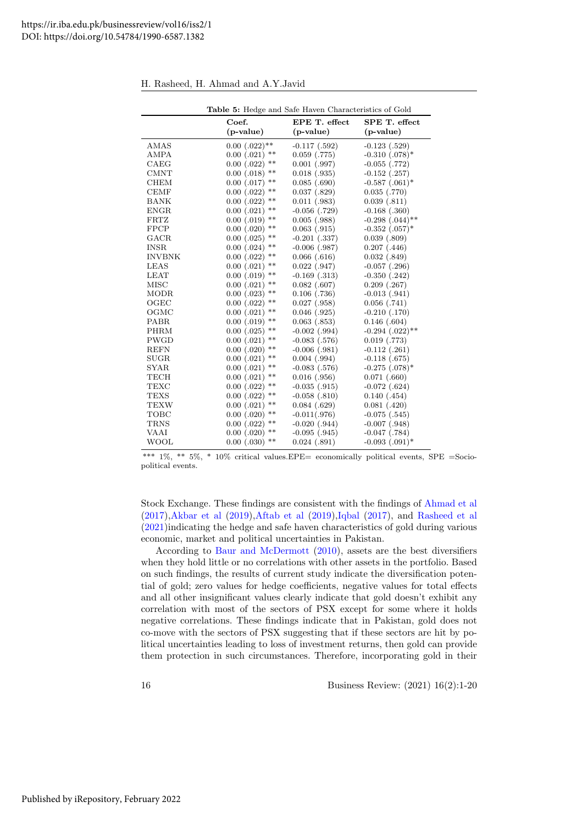|               | Table 5: Hedge and Safe Haven Characteristics of Gold |                   |                                 |  |  |  |
|---------------|-------------------------------------------------------|-------------------|---------------------------------|--|--|--|
|               | Coef.                                                 | EPE T. effect     | SPE T. effect                   |  |  |  |
|               | $(p-value)$                                           | $(p-value)$       | $(p-value)$                     |  |  |  |
| AMAS          | $0.00$ $(.022)$ **                                    | $-0.117$ $(.592)$ | $-0.123$ $(.529)$               |  |  |  |
| <b>AMPA</b>   | $***$<br>$0.00$ $(.021)$                              | $0.059$ $(.775)$  | $-0.310$ $(.078)$ <sup>*</sup>  |  |  |  |
| CAEG          | $**$<br>$0.00$ $(.022)$                               | $0.001$ $(.997)$  | $-0.055$ $(.772)$               |  |  |  |
| <b>CMNT</b>   | **<br>$0.00$ $(.018)$                                 | $0.018$ $(.935)$  | $-0.152$ $(.257)$               |  |  |  |
| <b>CHEM</b>   | **<br>$0.00$ $(.017)$                                 | $0.085$ $(.690)$  | $-0.587$ $(.061)$ <sup>*</sup>  |  |  |  |
| <b>CEMF</b>   | **<br>$0.00$ $(.022)$                                 | $0.037$ $(.829)$  | $0.035$ $(.770)$                |  |  |  |
| <b>BANK</b>   | $***$<br>$0.00$ $(.022)$                              | $0.011$ $(.983)$  | 0.039(.811)                     |  |  |  |
| <b>ENGR</b>   | **<br>$0.00$ $(.021)$                                 | $-0.056$ $(.729)$ | $-0.168$ $(.360)$               |  |  |  |
| <b>FRTZ</b>   | $**$<br>$0.00$ $(.019)$                               | $0.005$ $(.988)$  | $-0.298$ $(.044)$ <sup>**</sup> |  |  |  |
| <b>FPCP</b>   | $***$<br>$0.00$ $(.020)$                              | $0.063$ $(.915)$  | $-0.352$ $(.057)$ <sup>*</sup>  |  |  |  |
| GACR          | $0.00$ $(.025)$<br>$**$                               | $-0.201$ $(.337)$ | $0.039$ $(.809)$                |  |  |  |
| <b>INSR</b>   | $***$<br>$0.00$ $(.024)$                              | $-0.006$ $(.987)$ | $0.207$ $(.446)$                |  |  |  |
| <b>INVBNK</b> | $**$<br>$0.00$ $(.022)$                               | $0.066$ $(.616)$  | 0.032(0.849)                    |  |  |  |
| <b>LEAS</b>   | $0.00$ $(.021)$<br>$**$                               | $0.022$ $(.947)$  | $-0.057$ $(.296)$               |  |  |  |
| <b>LEAT</b>   | $***$<br>$0.00$ $(.019)$                              | $-0.169$ $(.313)$ | $-0.350$ $(.242)$               |  |  |  |
| <b>MISC</b>   | $**$<br>$0.00$ $(.021)$                               | $0.082$ (.607)    | $0.209$ $(.267)$                |  |  |  |
| <b>MODR</b>   | $***$<br>$0.00$ $(.023)$                              | $0.106$ $(.736)$  | $-0.013$ $(.941)$               |  |  |  |
| OGEC          | $***$<br>$0.00$ $(.022)$                              | $0.027$ $(.958)$  | $0.056$ $(.741)$                |  |  |  |
| OGMC          | $***$<br>$0.00$ $(.021)$                              | $0.046$ $(.925)$  | $-0.210$ $(.170)$               |  |  |  |
| PABR          | $***$<br>$0.00$ $(.019)$                              | $0.063$ $(.853)$  | $0.146$ $(.604)$                |  |  |  |
| <b>PHRM</b>   | $***$<br>$0.00$ $(.025)$                              | $-0.002$ $(.994)$ | $-0.294$ $(.022)$ **            |  |  |  |
| <b>PWGD</b>   | $***$<br>$0.00$ $(.021)$                              | $-0.083$ $(.576)$ | $0.019$ $(.773)$                |  |  |  |
| <b>REFN</b>   | $***$<br>$0.00$ $(.020)$                              | $-0.006$ $(.981)$ | $-0.112$ $(.261)$               |  |  |  |
| <b>SUGR</b>   | $***$<br>$0.00$ $(.021)$                              | $0.004$ $(.994)$  | $-0.118(.675)$                  |  |  |  |
| <b>SYAR</b>   | $***$<br>$0.00$ $(.021)$                              | $-0.083$ $(.576)$ | $-0.275$ $(.078)$ <sup>*</sup>  |  |  |  |
| <b>TECH</b>   | $**$<br>$0.00$ $(.021)$                               | $0.016$ $(.956)$  | $0.071$ $(.660)$                |  |  |  |
| <b>TEXC</b>   | $***$<br>$0.00$ $(.022)$                              | $-0.035$ $(.915)$ | $-0.072$ $(.624)$               |  |  |  |
| <b>TEXS</b>   | $***$<br>$0.00$ $(.022)$                              | $-0.058$ $(.810)$ | $0.140$ $(.454)$                |  |  |  |
| <b>TEXW</b>   | $***$<br>$0.00$ $(.021)$                              | $0.084$ $(.629)$  | $0.081$ $(.420)$                |  |  |  |
| <b>TOBC</b>   | $***$<br>$0.00$ $(.020)$                              | $-0.011(.976)$    | $-0.075$ $(.545)$               |  |  |  |
| <b>TRNS</b>   | $**$<br>$0.00$ $(.022)$                               | $-0.020$ $(.944)$ | $-0.007$ $(.948)$               |  |  |  |
| VAAI          | $***$<br>$0.00$ $(.020)$                              | $-0.095$ $(.945)$ | $-0.047$ $(.784)$               |  |  |  |
| WOOL          | $0.00$ $(.030)$<br>$***$                              | $0.024$ $(.891)$  | $-0.093$ $(.091)$ <sup>*</sup>  |  |  |  |

H. Rasheed, H. Ahmad and A.Y.Javid

\*\*\*  $1\%$ , \*\*  $5\%$ , \*  $10\%$  critical values.EPE= economically political events, SPE =Sociopolitical events.

Stock Exchange. These findings are consistent with the findings of [Ahmad et al](#page-18-23) [\(2017\)](#page-18-23)[,Akbar et al](#page-18-24) [\(2019\)](#page-18-24)[,Aftab et al](#page-18-25) [\(2019\)](#page-18-25)[,Iqbal](#page-19-7) [\(2017\)](#page-19-7), and [Rasheed et al](#page-19-6) [\(2021\)](#page-19-6)indicating the hedge and safe haven characteristics of gold during various economic, market and political uncertainties in Pakistan.

According to [Baur and McDermott](#page-18-3) [\(2010\)](#page-18-3), assets are the best diversifiers when they hold little or no correlations with other assets in the portfolio. Based on such findings, the results of current study indicate the diversification potential of gold; zero values for hedge coefficients, negative values for total effects and all other insignificant values clearly indicate that gold doesn't exhibit any correlation with most of the sectors of PSX except for some where it holds negative correlations. These findings indicate that in Pakistan, gold does not co-move with the sectors of PSX suggesting that if these sectors are hit by political uncertainties leading to loss of investment returns, then gold can provide them protection in such circumstances. Therefore, incorporating gold in their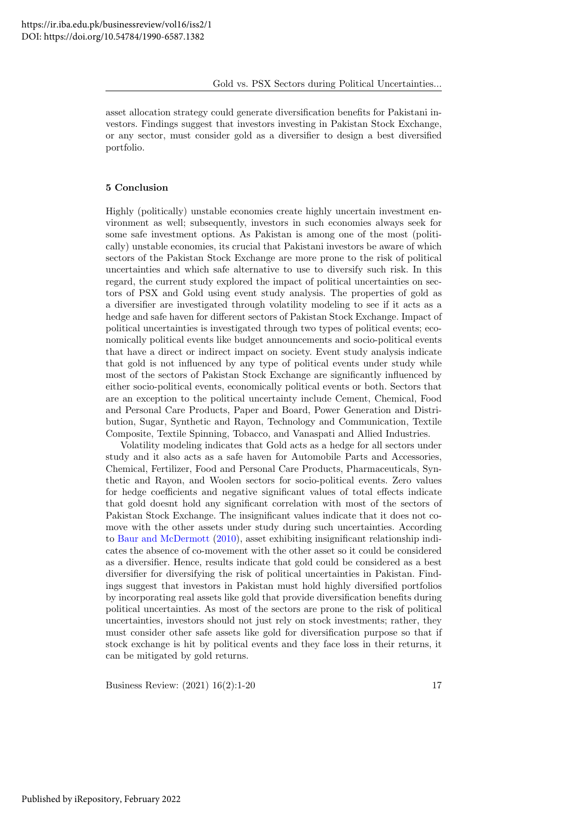asset allocation strategy could generate diversification benefits for Pakistani investors. Findings suggest that investors investing in Pakistan Stock Exchange, or any sector, must consider gold as a diversifier to design a best diversified portfolio.

# 5 Conclusion

Highly (politically) unstable economies create highly uncertain investment environment as well; subsequently, investors in such economies always seek for some safe investment options. As Pakistan is among one of the most (politically) unstable economies, its crucial that Pakistani investors be aware of which sectors of the Pakistan Stock Exchange are more prone to the risk of political uncertainties and which safe alternative to use to diversify such risk. In this regard, the current study explored the impact of political uncertainties on sectors of PSX and Gold using event study analysis. The properties of gold as a diversifier are investigated through volatility modeling to see if it acts as a hedge and safe haven for different sectors of Pakistan Stock Exchange. Impact of political uncertainties is investigated through two types of political events; economically political events like budget announcements and socio-political events that have a direct or indirect impact on society. Event study analysis indicate that gold is not influenced by any type of political events under study while most of the sectors of Pakistan Stock Exchange are significantly influenced by either socio-political events, economically political events or both. Sectors that are an exception to the political uncertainty include Cement, Chemical, Food and Personal Care Products, Paper and Board, Power Generation and Distribution, Sugar, Synthetic and Rayon, Technology and Communication, Textile Composite, Textile Spinning, Tobacco, and Vanaspati and Allied Industries.

Volatility modeling indicates that Gold acts as a hedge for all sectors under study and it also acts as a safe haven for Automobile Parts and Accessories, Chemical, Fertilizer, Food and Personal Care Products, Pharmaceuticals, Synthetic and Rayon, and Woolen sectors for socio-political events. Zero values for hedge coefficients and negative significant values of total effects indicate that gold doesnt hold any significant correlation with most of the sectors of Pakistan Stock Exchange. The insignificant values indicate that it does not comove with the other assets under study during such uncertainties. According to [Baur and McDermott](#page-18-3) [\(2010\)](#page-18-3), asset exhibiting insignificant relationship indicates the absence of co-movement with the other asset so it could be considered as a diversifier. Hence, results indicate that gold could be considered as a best diversifier for diversifying the risk of political uncertainties in Pakistan. Findings suggest that investors in Pakistan must hold highly diversified portfolios by incorporating real assets like gold that provide diversification benefits during political uncertainties. As most of the sectors are prone to the risk of political uncertainties, investors should not just rely on stock investments; rather, they must consider other safe assets like gold for diversification purpose so that if stock exchange is hit by political events and they face loss in their returns, it can be mitigated by gold returns.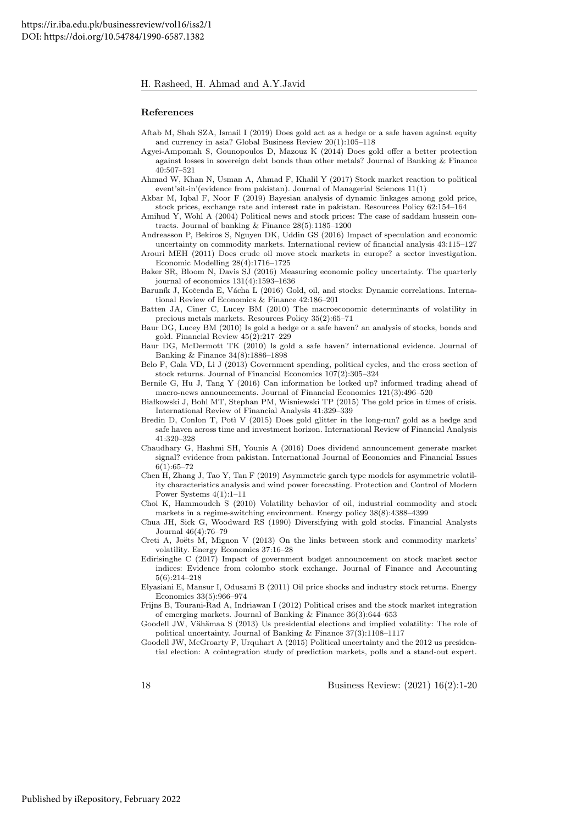#### References

- <span id="page-18-25"></span>Aftab M, Shah SZA, Ismail I (2019) Does gold act as a hedge or a safe haven against equity and currency in asia? Global Business Review 20(1):105–118
- <span id="page-18-15"></span>Agyei-Ampomah S, Gounopoulos D, Mazouz K (2014) Does gold offer a better protection against losses in sovereign debt bonds than other metals? Journal of Banking & Finance 40:507–521
- <span id="page-18-23"></span>Ahmad W, Khan N, Usman A, Ahmad F, Khalil Y (2017) Stock market reaction to political event'sit-in'(evidence from pakistan). Journal of Managerial Sciences 11(1)

<span id="page-18-24"></span>Akbar M, Iqbal F, Noor F (2019) Bayesian analysis of dynamic linkages among gold price, stock prices, exchange rate and interest rate in pakistan. Resources Policy 62:154–164

<span id="page-18-5"></span>Amihud Y, Wohl A (2004) Political news and stock prices: The case of saddam hussein contracts. Journal of banking & Finance 28(5):1185–1200

<span id="page-18-11"></span>Andreasson P, Bekiros S, Nguyen DK, Uddin GS (2016) Impact of speculation and economic uncertainty on commodity markets. International review of financial analysis 43:115–127

<span id="page-18-8"></span>Arouri MEH (2011) Does crude oil move stock markets in europe? a sector investigation. Economic Modelling 28(4):1716–1725

<span id="page-18-0"></span>Baker SR, Bloom N, Davis SJ (2016) Measuring economic policy uncertainty. The quarterly journal of economics 131(4):1593–1636

<span id="page-18-17"></span>Baruník J, Kočenda E, Vácha L (2016) Gold, oil, and stocks: Dynamic correlations. International Review of Economics & Finance 42:186–201

- <span id="page-18-10"></span>Batten JA, Ciner C, Lucey BM (2010) The macroeconomic determinants of volatility in precious metals markets. Resources Policy 35(2):65–71
- <span id="page-18-22"></span>Baur DG, Lucey BM (2010) Is gold a hedge or a safe haven? an analysis of stocks, bonds and gold. Financial Review 45(2):217–229
- <span id="page-18-3"></span>Baur DG, McDermott TK (2010) Is gold a safe haven? international evidence. Journal of Banking & Finance 34(8):1886–1898

<span id="page-18-4"></span>Belo F, Gala VD, Li J (2013) Government spending, political cycles, and the cross section of stock returns. Journal of Financial Economics 107(2):305–324

<span id="page-18-6"></span>Bernile G, Hu J, Tang Y (2016) Can information be locked up? informed trading ahead of macro-news announcements. Journal of Financial Economics 121(3):496–520

- <span id="page-18-13"></span>Białkowski J, Bohl MT, Stephan PM, Wisniewski TP (2015) The gold price in times of crisis. International Review of Financial Analysis 41:329–339
- <span id="page-18-16"></span>Bredin D, Conlon T, Potì V (2015) Does gold glitter in the long-run? gold as a hedge and safe haven across time and investment horizon. International Review of Financial Analysis 41:320–328
- <span id="page-18-21"></span>Chaudhary G, Hashmi SH, Younis A (2016) Does dividend announcement generate market signal? evidence from pakistan. International Journal of Economics and Financial Issues 6(1):65–72
- <span id="page-18-18"></span>Chen H, Zhang J, Tao Y, Tan F (2019) Asymmetric garch type models for asymmetric volatility characteristics analysis and wind power forecasting. Protection and Control of Modern Power Systems 4(1):1–11
- <span id="page-18-9"></span>Choi K, Hammoudeh S (2010) Volatility behavior of oil, industrial commodity and stock markets in a regime-switching environment. Energy policy 38(8):4388–4399
- <span id="page-18-14"></span>Chua JH, Sick G, Woodward RS (1990) Diversifying with gold stocks. Financial Analysts Journal 46(4):76–79
- <span id="page-18-12"></span>Creti A, Joëts M, Mignon V (2013) On the links between stock and commodity markets' volatility. Energy Economics 37:16–28
- <span id="page-18-20"></span>Edirisinghe C (2017) Impact of government budget announcement on stock market sector indices: Evidence from colombo stock exchange. Journal of Finance and Accounting 5(6):214–218

<span id="page-18-7"></span>Elyasiani E, Mansur I, Odusami B (2011) Oil price shocks and industry stock returns. Energy Economics 33(5):966–974

<span id="page-18-19"></span>Frijns B, Tourani-Rad A, Indriawan I (2012) Political crises and the stock market integration of emerging markets. Journal of Banking & Finance 36(3):644–653

<span id="page-18-2"></span>Goodell JW, Vähämaa S (2013) Us presidential elections and implied volatility: The role of political uncertainty. Journal of Banking & Finance 37(3):1108–1117

<span id="page-18-1"></span>Goodell JW, McGroarty F, Urquhart A (2015) Political uncertainty and the 2012 us presidential election: A cointegration study of prediction markets, polls and a stand-out expert.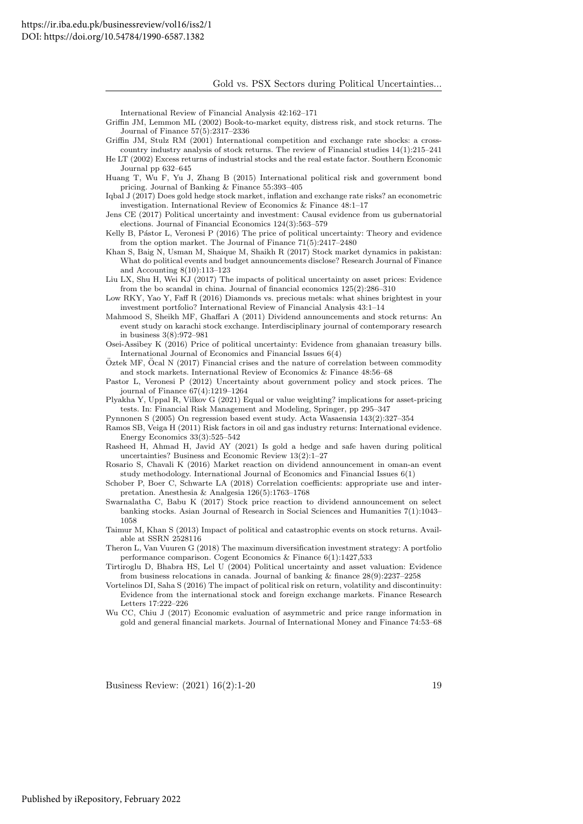International Review of Financial Analysis 42:162–171

- <span id="page-19-15"></span>Griffin JM, Lemmon ML (2002) Book-to-market equity, distress risk, and stock returns. The Journal of Finance 57(5):2317–2336
- <span id="page-19-14"></span>Griffin JM, Stulz RM (2001) International competition and exchange rate shocks: a crosscountry industry analysis of stock returns. The review of Financial studies 14(1):215–241
- <span id="page-19-13"></span>He LT (2002) Excess returns of industrial stocks and the real estate factor. Southern Economic Journal pp 632–645
- <span id="page-19-1"></span>Huang T, Wu F, Yu J, Zhang B (2015) International political risk and government bond pricing. Journal of Banking & Finance 55:393–405
- <span id="page-19-7"></span>Iqbal J (2017) Does gold hedge stock market, inflation and exchange rate risks? an econometric investigation. International Review of Economics & Finance 48:1–17

<span id="page-19-2"></span>Jens CE (2017) Political uncertainty and investment: Causal evidence from us gubernatorial elections. Journal of Financial Economics 124(3):563–579

<span id="page-19-5"></span>Kelly B, Pástor L, Veronesi P (2016) The price of political uncertainty: Theory and evidence from the option market. The Journal of Finance 71(5):2417–2480

<span id="page-19-18"></span>Khan S, Baig N, Usman M, Shaique M, Shaikh R (2017) Stock market dynamics in pakistan: What do political events and budget announcements disclose? Research Journal of Finance and Accounting 8(10):113–123

<span id="page-19-3"></span>Liu LX, Shu H, Wei KJ (2017) The impacts of political uncertainty on asset prices: Evidence from the bo scandal in china. Journal of financial economics 125(2):286–310

- <span id="page-19-9"></span>Low RKY, Yao Y, Faff R (2016) Diamonds vs. precious metals: what shines brightest in your investment portfolio? International Review of Financial Analysis 43:1–14
- <span id="page-19-20"></span>Mahmood S, Sheikh MF, Ghaffari A (2011) Dividend announcements and stock returns: An event study on karachi stock exchange. Interdisciplinary journal of contemporary research in business 3(8):972–981
- <span id="page-19-11"></span>Osei-Assibey K (2016) Price of political uncertainty: Evidence from ghanaian treasury bills. International Journal of Economics and Financial Issues 6(4)
- <span id="page-19-16"></span> $O$ ztek MF,  $O$ cal N (2017) Financial crises and the nature of correlation between commodity and stock markets. International Review of Economics & Finance 48:56–68
- <span id="page-19-8"></span>Pastor L, Veronesi P (2012) Uncertainty about government policy and stock prices. The journal of Finance 67(4):1219–1264
- <span id="page-19-17"></span>Plyakha Y, Uppal R, Vilkov G (2021) Equal or value weighting? implications for asset-pricing tests. In: Financial Risk Management and Modeling, Springer, pp 295–347
- <span id="page-19-22"></span>Pynnonen S (2005) On regression based event study. Acta Wasaensia 143(2):327–354
- <span id="page-19-12"></span>Ramos SB, Veiga H (2011) Risk factors in oil and gas industry returns: International evidence. Energy Economics 33(3):525–542
- <span id="page-19-6"></span>Rasheed H, Ahmad H, Javid AY (2021) Is gold a hedge and safe haven during political uncertainties? Business and Economic Review 13(2):1–27
- <span id="page-19-21"></span>Rosario S, Chavali K (2016) Market reaction on dividend announcement in oman-an event study methodology. International Journal of Economics and Financial Issues 6(1)
- <span id="page-19-25"></span>Schober P, Boer C, Schwarte LA (2018) Correlation coefficients: appropriate use and interpretation. Anesthesia & Analgesia 126(5):1763–1768
- <span id="page-19-23"></span>Swarnalatha C, Babu K (2017) Stock price reaction to dividend announcement on select banking stocks. Asian Journal of Research in Social Sciences and Humanities 7(1):1043– 1058
- <span id="page-19-0"></span>Taimur M, Khan S (2013) Impact of political and catastrophic events on stock returns. Available at SSRN 2528116
- <span id="page-19-24"></span>Theron L, Van Vuuren G (2018) The maximum diversification investment strategy: A portfolio performance comparison. Cogent Economics & Finance 6(1):1427,533
- <span id="page-19-19"></span>Tirtiroglu D, Bhabra HS, Lel U (2004) Political uncertainty and asset valuation: Evidence from business relocations in canada. Journal of banking & finance 28(9):2237–2258
- <span id="page-19-4"></span>Vortelinos DI, Saha S (2016) The impact of political risk on return, volatility and discontinuity: Evidence from the international stock and foreign exchange markets. Finance Research Letters 17:222–226
- <span id="page-19-10"></span>Wu CC, Chiu J (2017) Economic evaluation of asymmetric and price range information in gold and general financial markets. Journal of International Money and Finance 74:53–68